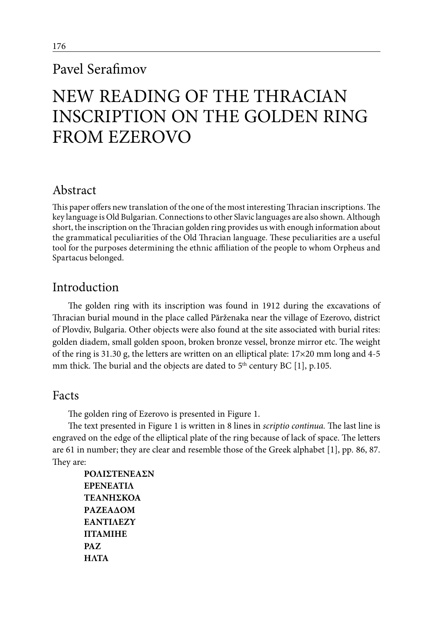## Pavel Serafimov

# NEW READING OF THE THRACIAN INSCRIPTION ON THE GOLDEN RING FROM EZEROVO

## Abstract

This paper offers new translation of the one of the most interesting Thracian inscriptions. The key language is Old Bulgarian. Connections to other Slavic languages are also shown. Although short, the inscription on the Thracian golden ring provides us with enough information about the grammatical peculiarities of the Old Thracian language. These peculiarities are a useful tool for the purposes determining the ethnic affiliation of the people to whom Orpheus and Spartacus belonged.

## Introduction

The golden ring with its inscription was found in 1912 during the excavations of Thracian burial mound in the place called Părženaka near the village of Ezerovo, district of Plovdiv, Bulgaria. Other objects were also found at the site associated with burial rites: golden diadem, small golden spoon, broken bronze vessel, bronze mirror etc. The weight of the ring is 31.30 g, the letters are written on an elliptical plate: 17×20 mm long and 4-5 mm thick. The burial and the objects are dated to 5<sup>th</sup> century BC [1], p.105.

### Facts

The golden ring of Ezerovo is presented in Figure 1.

The text presented in Figure 1 is written in 8 lines in *scriptio continua.* The last line is engraved on the edge of the elliptical plate of the ring because of lack of space. The letters are 61 in number; they are clear and resemble those of the Greek alphabet [1], pp*.* 86, 87. They are:

**ΡΟΛΙΣΤΕΝΕΑΣΝ ΕΡΕΝΕΑΤΙΛ ΤΕΑΝΗΣΚΟΑ PΑΖΕΑΔΟΜ ΕΑΝΤΙΛΕΖΥ ΠΤΑΜΙΗΕ ΡΑΖ HΛΤΑ**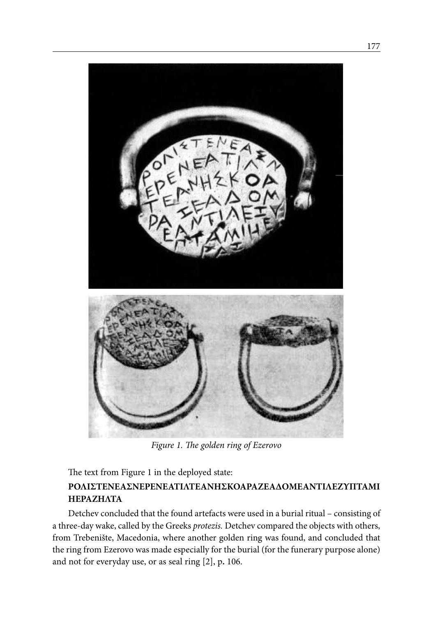

*Figure 1. The golden ring of Ezerovo*

The text from Figure 1 in the deployed state:

#### **ΡΟΛΙΣΤΕΝΕΑΣΝΕΡΕΝΕΑΤΙΛΤΕΑΝHΣΚΟΑΡΑΖΕΑΔΟΜΕΑΝΤΙΛΕΖΥΠΤΑΜΙ ΗΕΡΑΖΗΛΤΑ**

Detchev concluded that the found artefacts were used in a burial ritual – consisting of a three-day wake, called by the Greeks *protezis.* Detchev compared the objects with others, from Trebenište, Macedonia, where another golden ring was found, and concluded that the ring from Ezerovo was made especially for the burial (for the funerary purpose alone) and not for everyday use, or as seal ring [2], p**.** 106.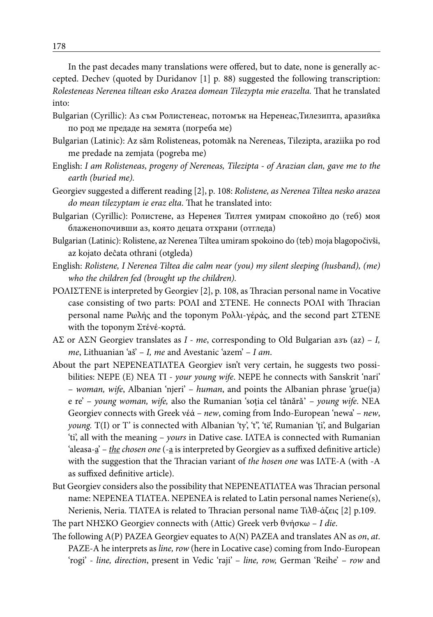In the past decades many translations were offered, but to date, none is generally accepted. Dechev (quoted by Duridanov [1] p*.* 88) suggested the following transcription: *Rolesteneas Nerenea tiltean esko Arazea domean Tilezypta mie erazelta.* That he translated into:

- Bulgarian (Cyrillic): Аз съм Ролистенеас, потомък на Неренеас,Тилезипта, аразийка по род ме предаде на земята (погреба ме)
- Bulgarian (Latinic): Az săm Rolisteneas, potomăk na Nereneas, Tilezipta, araziika po rod me predade na zemjata (pogreba me)
- English: *I am Rolisteneas, progeny of Nereneas, Tilezipta of Arazian clan, gave me to the earth (buried me).*
- Georgiev suggested a different reading [2], p*.* 108: *Rolistene, as Nerenea Tiltea nesko arazea do mean tilezyptam ie eraz elta*. That he translated into:
- Bulgarian (Cyrillic): Ролистене, аз Неренея Тилтея умирам спокойно до (теб) моя блаженопочивши аз, която децата отхрани (отгледа)
- Bulgarian (Latinic): Rolistene, az Nerenea Tiltea umiram spokoino do (teb) moja blagopočivši, az kojato deĉata othrani (otgleda)
- English: *Rolistene, I Nerenea Tiltea die calm near (you) my silent sleeping (husband), (me) who the children fed (brought up the children).*
- ΡΟΛΙΣΤΕΝΕ is interpreted by Georgiev [2], p. 108, as Thracian personal name in Vocative case consisting of two parts: ΡΟΛΙ and ΣΤΕΝΕ. He connects ΡΟΛΙ with Thracian personal name Ρωλής and the toponym Рολλι-γέράς, and the second part ΣΤΕΝΕ with the toponym Στένέ-κορτά.
- ΑΣ or АΣΝ Georgiev translates as *I me*, corresponding to Old Bulgarian азъ (az) *I, me*, Lithuanian 'aš' – *I, me* and Avestanic 'azem' – *I am*.
- About the part ΝΕΡΕΝΕΑΤΙΛΤΕΑ Georgiev isn't very certain, he suggests two possibilities: ΝΕΡΕ (E) ΝΕΑ ΤΙ - *your young wife*. ΝΕΡΕ he connects with Sanskrit 'nari' – *woman, wife*, Albanian 'njeri' – *human*, and points the Albanian phrase 'grue(ja) e re' – *young woman, wife,* also the Rumanian 'soţia cel tânǎrǎ' – *young wife*. NEA Georgiev connects with Greek νέά – *new*, coming from Indo-European 'newa' – *new*, *young.* T(I) or T' is connected with Albanian 'ty', 't'', 'të', Rumanian 'ţi', and Bulgarian 'ti', all with the meaning – *yours* in Dative case. ΙΛΤΕΑ is connected with Rumanian 'aleasa-<u>a</u>' – *the chosen one* (-a is interpreted by Georgiev as a suffixed definitive article) with the suggestion that the Thracian variant of *the hosen one* was ΙΛΤΕ-Α (with -A as suffixed definitive article).
- But Georgiev considers also the possibility that ΝΕΡΕΝΕΑΤΙΛΤΕΑ was Thracian personal name: ΝΕΡΕΝΕΑ ΤΙΛΤΕΑ. ΝΕΡΕΝΕΑ is related to Latin personal names Neriene(s), Nerienis, Neria. ΤΙΛΤΕΑ is related to Thracian personal name Τιλθ-άζεις [2] p.109.

The part ΝHΣΚΟ Georgiev connects with (Attic) Greek verb θνήσκω – *I die*.

The following Α(P) ΡΑΖΕΑ Georgiev equates to A(N) PAZEA and translates AN as *on*, *at*. PAZE-A he interprets as *line, row* (here in Locative case) coming from Indo-European 'rogi' - *line, direction*, present in Vedic 'raji' – *line, row,* German 'Reihe' – *row* and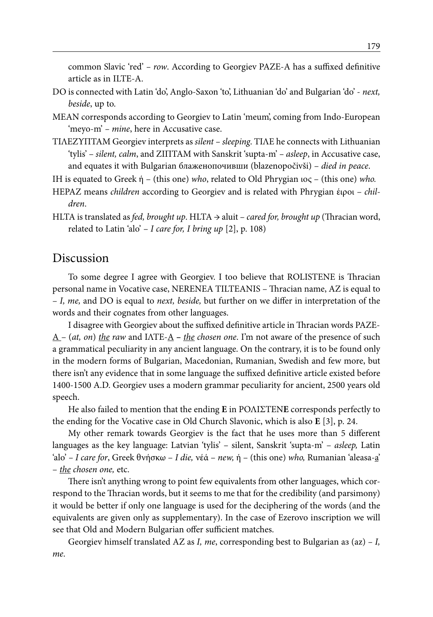common Slavic 'red' *– row*. According to Georgiev PAZE-A has a suffixed definitive article as in ILTE-A.

- DO is connected with Latin 'do', Anglo-Saxon 'to', Lithuanian 'do' and Bulgarian 'do' *next, beside*, up to.
- MEAN corresponds according to Georgiev to Latin 'meum', coming from Indo-European 'meyo-m' *– mine*, here in Accusative case.
- ΤΙΛΕΖΥΠΤΑM Georgiev interprets as *silent sleeping*. ΤΙΛΕ he connects with Lithuanian 'tylis' – *silent, calm*, and ΖΙΠΤΑM with Sanskrit 'supta-m' *– asleep*, in Accusative case, and equates it with Bulgarian блаженопочивши (blazenopočivši) – *died in peace*.

IH is equated to Greek ή – (this one) *who*, related to Old Phrygian ιος – (this one) *who.*

- HEPAZ means *children* according to Georgiev and is related with Phrygian έιροι *children*.
- HLTA is translated as *fed, brought up*. HLTA → aluit *cared for, brought up* (Thracian word, related to Latin 'alo' – *I care for, I bring up* [2], p. 108)

#### Discussion

To some degree I agree with Georgiev. I too believe that ROLISTENE is Thracian personal name in Vocative case, NERENEA TILTEANIS – Thracian name, AZ is equal to – *I, me,* and DO is equal to *next, beside,* but further on we differ in interpretation of the words and their cognates from other languages.

I disagree with Georgiev about the suffixed definitive article in Thracian words PAZE-A – (*at, on*) *the raw* and ΙΛΤΕ-Α **–** *the chosen one*. I'm not aware of the presence of such a grammatical peculiarity in any ancient language. On the contrary, it is to be found only in the modern forms of Bulgarian, Macedonian, Rumanian, Swedish and few more, but there isn't any evidence that in some language the suffixed definitive article existed before 1400-1500 A.D. Georgiev uses a modern grammar peculiarity for ancient, 2500 years old speech.

He also failed to mention that the ending **E** in ΡΟΛΙΣΤΕΝ**Ε** corresponds perfectly to the ending for the Vocative case in Old Church Slavonic, which is also **E** [3], p. 24.

My other remark towards Georgiev is the fact that he uses more than 5 different languages as the key language: Latvian 'tylis' – silent, Sanskrit 'supta-m' – *asleep,* Latin 'alo' *– I care for*, Greek θνήσκω – *I die,* νέά – *new,* ή – (this one) *who,* Rumanian 'aleasa-a' – *the chosen one,* etc.

There isn't anything wrong to point few equivalents from other languages, which correspond to the Thracian words, but it seems to me that for the credibility (and parsimony) it would be better if only one language is used for the deciphering of the words (and the equivalents are given only as supplementary). In the case of Ezerovo inscription we will see that Old and Modern Bulgarian offer sufficient matches.

Georgiev himself translated AZ as *I, me*, corresponding best to Bulgarian aз (az) *– I, me*.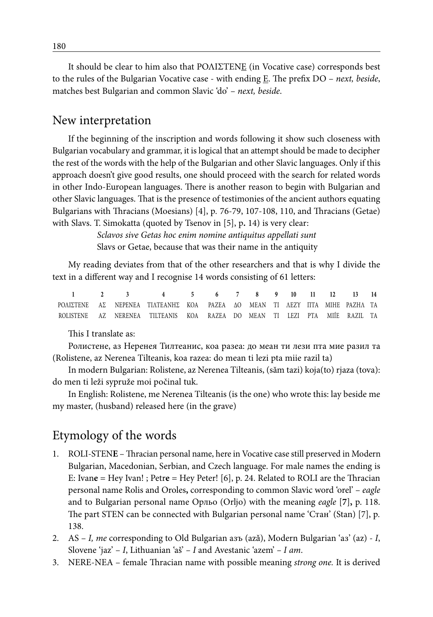It should be clear to him also that ΡΟΛΙΣΤΕΝΕ (in Vocative case) corresponds best to the rules of the Bulgarian Vocative case - with ending E. The prefix DO – *next, beside*, matches best Bulgarian and common Slavic 'do' – *next, beside*.

#### New interpretation

If the beginning of the inscription and words following it show such closeness with Bulgarian vocabulary and grammar, it is logical that an attempt should be made to decipher the rest of the words with the help of the Bulgarian and other Slavic languages. Only if this approach doesn't give good results, one should proceed with the search for related words in other Indo-European languages. There is another reason to begin with Bulgarian and other Slavic languages. That is the presence of testimonies of the ancient authors equating Bulgarians with Thracians (Moesians) [4], p*.* 76-79, 107-108, 110, and Thracians (Getae) with Slavs. T. Simokatta (quoted by Tsenov in [5], p**.** 14) is very clear:

> *Sclavos sive Getas hoc enim nomine antiquitus appellati sunt*  Slavs or Getae, because that was their name in the antiquity

My reading deviates from that of the other researchers and that is why I divide the text in a different way and I recognise 14 words consisting of 61 letters:

**1 2 3 4 5 6 7 8 9 10 11 12 13 14** ΡΟΛΙΣΤΕΝΕ ΑΣ ΝΕΡΕΝΕΑ ΤΙΛΤΕΑΝΗΣ ΚΟΑ ΡΑΖΕΑ ΔΟ ΜΕΑΝ ΤΙ ΛΕΖΥ ΠΤΑ ΜΙHE ΡΑΖHΛ ΤΑ ROLISTENE AZ NERENEA TILTEANIS KOA RAZEA DO MEAN TI LEZI PTA MIÍE RAZIL TA

This I translate as:

Ролистене, аз Неренея Тилтеанис, коа разеа: до меан ти лези пта мие разил та (Rolistene, az Nerenea Tilteanis, koa razea: do mean ti lezi pta miie razil ta)

In modern Bulgarian: Rolistene, az Nerenea Tilteanis, (săm tazi) koja(to) rjaza (tova): do men ti leži sypruže moi počinal tuk.

In English: Rolistene, me Nerenea Tilteanis (is the one) who wrote this: lay beside me my master, (husband) released here (in the grave)

## Etymology of the words

- 1. ROLI-STEN**E**  Thracian personal name, here in Vocative case still preserved in Modern Bulgarian, Macedonian, Serbian, and Czech language. For male names the ending is E: Ivan**e** = Hey Ivan! ; Petr**e** = Hey Peter! [6], p. 24. Related to ROLI are the Thracian personal name Rolis and Oroles**,** corresponding to common Slavic word 'orel' – *eagle* and to Bulgarian personal name Орльо (Orljo) with the meaning *eagle* [**7**]**,** p. 118. The part STEN can be connected with Bulgarian personal name 'Стан' (Stan) [7], p*.* 138.
- 2. AS *I, me* corresponding to Old Bulgarian азъ (azǎ), Modern Bulgarian 'аз' (az) *I*, Slovene 'jaz' – *I*, Lithuanian 'aš' *– I* and Avestanic 'azem' *– I am*.
- 3. NERE-NEA female Thracian name with possible meaning *strong one.* It is derived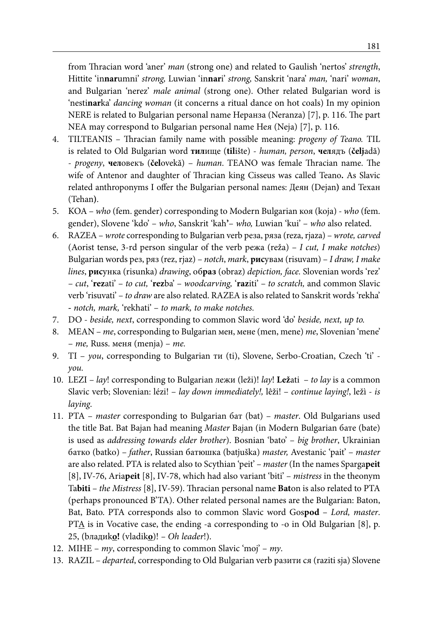from Thracian word 'aner' *man* (strong one) and related to Gaulish 'nertos' *strength*, Hittite 'in**nar**umni' *strong,* Luwian 'in**nar**i' *strong,* Sanskrit 'nara' *man,* 'nari' *woman*, and Bulgarian 'nerez' *male animal* (strong one). Other related Bulgarian word is 'nesti**nar**ka' *dancing woman* (it concerns a ritual dance on hot coals) In my opinion NERE is related to Bulgarian personal name Неранза (Neranza) [7], p. 116. The part NEA may correspond to Bulgarian personal name Нея (Neja) [7], p. 116.

- 4. TILTEANIS Thracian family name with possible meaning: *progeny of Teano.* TIL is related to Old Bulgarian word **тил**ище (**til**ište) - *human, person*, **чел**ядъ (**čelj**adă) - *progeny*, **чел**овекъ (**čel**ovekă) – *human*. TEANO was female Thracian name. The wife of Antenor and daughter of Thracian king Cisseus was called Teano**.** As Slavic related anthroponyms I offer the Bulgarian personal names: Деян (Dejan**)** and Техан (Tehan**)**.
- 5. KOA *who* (fem. gender) corresponding to Modern Bulgarian коя (koja) *who* (fem. gender), Slovene 'kdo' – *who*, Sanskrit 'kah**'**– *who,* Luwian 'kui' – *who* also related.
- 6. RAZEA *wrote* corresponding to Bulgarian verb реза, ряза (reza, rjaza) *wrote, carved* (Aorist tense, 3-rd person singular of the verb режа (reža) – *I cut, I make notches*) Bulgarian words рез, ряз (rez, rjaz) – *notch*, *mark*, **рис**увам (risuvam) – *I draw, I make lines*, **рис**унка (risunka) *drawing*, об**раз** (obraz) *depiction, face.* Slovenian words 'rez' – *cut*, '**rez**ati' – *to cut,* '**rez**ba' – *woodcarving,* '**raz**iti' – *to scratch,* and common Slavic verb 'risuvati' – *to draw* are also related. RAZEA is also related to Sanskrit words 'rekha' **-** *notch, mark,* 'rekhati' – *to mark, to make notches.*
- 7. DO *beside, next*, corresponding to common Slavic word 'do' *beside, next, up to.*
- 8. MEAN *me*, corresponding to Bulgarian мен, мене (men, mene) *me*, Slovenian 'mene' – *me,* Russ. меня (menja) – *me.*
- 9. TI *you*, corresponding to Bulgarian ти (ti), Slovene, Serbo-Croatian, Czech 'ti' *you.*
- 10. LEZI *lay*! corresponding to Bulgarian лежи (leži)! *lay*! **Lež**ati *to lay* is a common Slavic verb; Slovenian: lézi! – *lay down immediately!,* lêži! – *continue laying!*, ležì - *is laying*.
- 11. PTA *master* corresponding to Bulgarian бат (bat) *master*. Old Bulgarians used the title Bat. Bat Bajan had meaning *Master* Bajan (in Modern Bulgarian бате (bate) is used as *addressing towards elder brother*). Bosnian 'bato' – *big brother*, Ukrainian батко (batko) – *father*, Russian батюшка (batjuška) *master,* Avestanic 'pait' – *master*  are also related. PTA is related also to Scythian 'peit' – *master* (In the names Sparga**peit** [8], IV-76, Aria**peit** [8], IV-78, which had also variant 'biti' – *mistress* in the theonym Ta**biti** – *the Mistress* [8], IV-59). Thracian personal name **Bat**on is also related to PTA (perhaps pronounced B'TA). Other related personal names are the Bulgarian: Baton, Bat, Bato. PTA corresponds also to common Slavic word Gos**pod** – *Lord, master*. PT $\Delta$  is in Vocative case, the ending -a corresponding to -o in Old Bulgarian [8], p. 25, (bлaдиk**о!** (vladik**o**)! *– Oh leader*!).
- 12. MIHE *my*, corresponding to common Slavic 'moj' *my*.
- 13. RAZIL *departed*, corresponding to Old Bulgarian verb разити ся (raziti sja) Slovene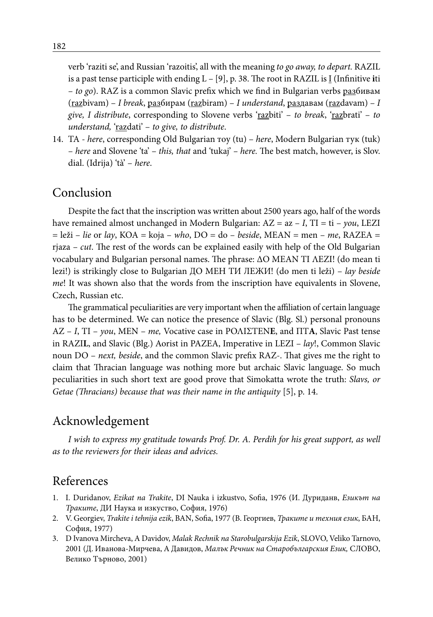verb 'raziti se', and Russian 'razoitis', all with the meaning *to go away, to depart.* RAZIL is a past tense participle with ending L – [9], p. 38. The root in RAZIL is I (Infinitive **i**ti – *to go*). RAZ is a common Slavic prefix which we find in Bulgarian verbs разбивам (razbivam) – *I break*, разбирам (razbiram) – *I understand*, раздавам (razdavam) – *I give, I distribute*, corresponding to Slovene verbs 'razbiti' – *to break*, 'razbrati' – *to understand,* 'razdati' – *to give, to distribute*.

14. TA - *here*, corresponding Old Bulgarian тоу (tu) – *here*, Modern Bulgarian тук (tuk) – *here* and Slovene 'ta' – *this, that* and 'tukaj' *– here.* The best match, however, is Slov. dial. (Idrija) 'tà' – *here*.

## Conclusion

Despite the fact that the inscription was written about 2500 years ago, half of the words have remained almost unchanged in Modern Bulgarian: AZ = az – *I*, TI = ti – *you*, LEZI  $=$  leži – *lie* or *lay*, KOA = koja – *who*, DO = do – *beside*, MEAN = men – *me*, RAZEA = rjaza – *cut*. The rest of the words can be explained easily with help of the Old Bulgarian vocabulary and Bulgarian personal names. The phrase: ΔΟ ΜΕΑΝ ΤΙ ΛΕΖΙ! (do mean ti lezi!) is strikingly close to Bulgarian ДО МЕН ТИ ЛЕЖИ! (do men ti leži) – *lay beside me*! It was shown also that the words from the inscription have equivalents in Slovene, Czech, Russian etc.

The grammatical peculiarities are very important when the affiliation of certain language has to be determined. We can notice the presence of Slavic (Blg. Sl.) personal pronouns AZ – *I*, TI – *you*, MEN – *me,* Vocative case in ΡΟΛΙΣΤΕΝ**Ε**, and ΠΤ**Α**, Slavic Past tense in RAZI**L**, and Slavic (Blg.) Aorist in PAZEA, Imperative in LEZI – *lay*!, Common Slavic noun DO – *next, beside*, and the common Slavic prefix RAZ-. That gives me the right to claim that Thracian language was nothing more but archaic Slavic language. So much peculiarities in such short text are good prove that Simokatta wrote the truth: *Slavs, or Getae (Thracians) because that was their name in the antiquity* [5], p. 14.

## Acknowledgement

*I wish to express my gratitude towards Prof. Dr. A. Perdih for his great support, as well as to the reviewers for their ideas and advices.*

## References

- 1. I. Duridanov, *Ezikat na Trakite*, DI Nauka i izkustvo, Sofia, 1976 (И. Дуриданв, *Езикът на Траките*, ДИ Наука и изкуство, София, 1976)
- 2. V. Georgiev, *Trakite i tehnija ezik*, BAN, Sofia, 1977 (В. Георгиев, *Траките и техния език*, БАН, София, 1977)
- 3. D Ivanova Mircheva, A Davidov, *Malak Rechnik na Starobulgarskija Ezik*, SLOVO, Veliko Tarnovo, 2001 (Д. Иванова-Мирчева, А Давидов, *Малък Речник на Старобългарския Език,* СЛОВО, Велико Търново, 2001)